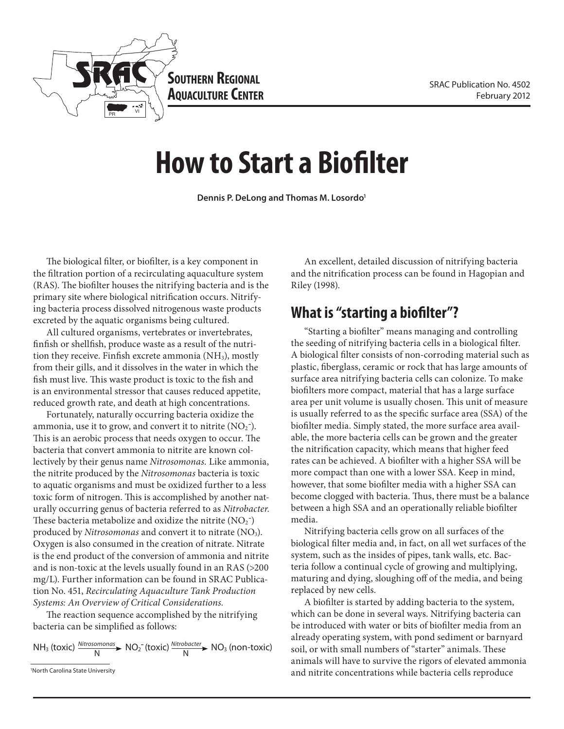

**Southern Regional AQUACULTURE CENTER** 

# **How to Start a Biofilter**

**Dennis P. DeLong and Thomas M. Losordo1**

The biological filter, or biofilter, is a key component in the filtration portion of a recirculating aquaculture system (RAS). The biofilter houses the nitrifying bacteria and is the primary site where biological nitrification occurs. Nitrifying bacteria process dissolved nitrogenous waste products excreted by the aquatic organisms being cultured.

All cultured organisms, vertebrates or invertebrates, finfish or shellfish, produce waste as a result of the nutrition they receive. Finfish excrete ammonia (NH<sub>3</sub>), mostly from their gills, and it dissolves in the water in which the fish must live. This waste product is toxic to the fish and is an environmental stressor that causes reduced appetite, reduced growth rate, and death at high concentrations.

Fortunately, naturally occurring bacteria oxidize the ammonia, use it to grow, and convert it to nitrite  $(NO<sub>2</sub>^{-})$ . This is an aerobic process that needs oxygen to occur. The bacteria that convert ammonia to nitrite are known collectively by their genus name *Nitrosomonas.* Like ammonia, the nitrite produced by the *Nitrosomonas* bacteria is toxic to aquatic organisms and must be oxidized further to a less toxic form of nitrogen. This is accomplished by another naturally occurring genus of bacteria referred to as *Nitrobacter.* These bacteria metabolize and oxidize the nitrite  $(NO<sub>2</sub>^-)$ produced by *Nitrosomonas* and convert it to nitrate (NO<sub>3</sub>). Oxygen is also consumed in the creation of nitrate. Nitrate is the end product of the conversion of ammonia and nitrite and is non-toxic at the levels usually found in an RAS (>200 mg/L). Further information can be found in SRAC Publication No. 451, *Recirculating Aquaculture Tank Production Systems: An Overview of Critical Considerations.*

The reaction sequence accomplished by the nitrifying bacteria can be simplified as follows:

$$
NH_3 \text{ (toxic) } \frac{\text{Nitrosomonas}}{N} \blacktriangleright NO_2^-(\text{toxic) } \frac{\text{Nitrobacter}}{N} \blacktriangleright NO_3 \text{ (non-toxic) }
$$

An excellent, detailed discussion of nitrifying bacteria and the nitrification process can be found in Hagopian and Riley (1998).

#### **What is "starting a biofilter"?**

"Starting a biofilter" means managing and controlling the seeding of nitrifying bacteria cells in a biological filter. A biological filter consists of non-corroding material such as plastic, fiberglass, ceramic or rock that has large amounts of surface area nitrifying bacteria cells can colonize. To make biofilters more compact, material that has a large surface area per unit volume is usually chosen. This unit of measure is usually referred to as the specific surface area (SSA) of the biofilter media. Simply stated, the more surface area available, the more bacteria cells can be grown and the greater the nitrification capacity, which means that higher feed rates can be achieved. A biofilter with a higher SSA will be more compact than one with a lower SSA. Keep in mind, however, that some biofilter media with a higher SSA can become clogged with bacteria. Thus, there must be a balance between a high SSA and an operationally reliable biofilter media.

Nitrifying bacteria cells grow on all surfaces of the biological filter media and, in fact, on all wet surfaces of the system, such as the insides of pipes, tank walls, etc. Bacteria follow a continual cycle of growing and multiplying, maturing and dying, sloughing off of the media, and being replaced by new cells.

A biofilter is started by adding bacteria to the system, which can be done in several ways. Nitrifying bacteria can be introduced with water or bits of biofilter media from an already operating system, with pond sediment or barnyard soil, or with small numbers of "starter" animals. These animals will have to survive the rigors of elevated ammonia and nitrite concentrations while bacteria cells reproduce

<sup>1</sup> North Carolina State University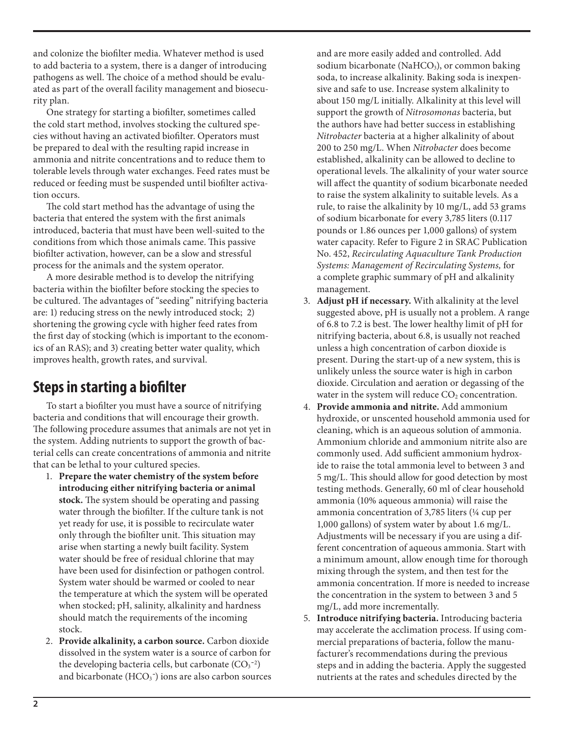and colonize the biofilter media. Whatever method is used to add bacteria to a system, there is a danger of introducing pathogens as well. The choice of a method should be evaluated as part of the overall facility management and biosecurity plan.

One strategy for starting a biofilter, sometimes called the cold start method, involves stocking the cultured species without having an activated biofilter. Operators must be prepared to deal with the resulting rapid increase in ammonia and nitrite concentrations and to reduce them to tolerable levels through water exchanges. Feed rates must be reduced or feeding must be suspended until biofilter activation occurs.

The cold start method has the advantage of using the bacteria that entered the system with the first animals introduced, bacteria that must have been well-suited to the conditions from which those animals came. This passive biofilter activation, however, can be a slow and stressful process for the animals and the system operator.

A more desirable method is to develop the nitrifying bacteria within the biofilter before stocking the species to be cultured. The advantages of "seeding" nitrifying bacteria are: 1) reducing stress on the newly introduced stock; 2) shortening the growing cycle with higher feed rates from the first day of stocking (which is important to the economics of an RAS); and 3) creating better water quality, which improves health, growth rates, and survival.

## **Steps in starting a biofilter**

To start a biofilter you must have a source of nitrifying bacteria and conditions that will encourage their growth. The following procedure assumes that animals are not yet in the system. Adding nutrients to support the growth of bacterial cells can create concentrations of ammonia and nitrite that can be lethal to your cultured species.

- 1. **Prepare the water chemistry of the system before introducing either nitrifying bacteria or animal stock.** The system should be operating and passing water through the biofilter. If the culture tank is not yet ready for use, it is possible to recirculate water only through the biofilter unit. This situation may arise when starting a newly built facility. System water should be free of residual chlorine that may have been used for disinfection or pathogen control. System water should be warmed or cooled to near the temperature at which the system will be operated when stocked; pH, salinity, alkalinity and hardness should match the requirements of the incoming stock.
- 2. **Provide alkalinity, a carbon source.** Carbon dioxide dissolved in the system water is a source of carbon for the developing bacteria cells, but carbonate  $(CO<sub>3</sub><sup>-2</sup>)$ and bicarbonate  $(HCO<sub>3</sub><sup>-</sup>)$  ions are also carbon sources

and are more easily added and controlled. Add sodium bicarbonate (NaHCO<sub>3</sub>), or common baking soda, to increase alkalinity. Baking soda is inexpensive and safe to use. Increase system alkalinity to about 150 mg/L initially. Alkalinity at this level will support the growth of *Nitrosomonas* bacteria, but the authors have had better success in establishing *Nitrobacter* bacteria at a higher alkalinity of about 200 to 250 mg/L. When *Nitrobacter* does become established, alkalinity can be allowed to decline to operational levels. The alkalinity of your water source will affect the quantity of sodium bicarbonate needed to raise the system alkalinity to suitable levels. As a rule, to raise the alkalinity by 10 mg/L, add 53 grams of sodium bicarbonate for every 3,785 liters (0.117 pounds or 1.86 ounces per 1,000 gallons) of system water capacity. Refer to Figure 2 in SRAC Publication No. 452, *Recirculating Aquaculture Tank Production Systems: Management of Recirculating Systems,* for a complete graphic summary of pH and alkalinity management.

- 3. **Adjust pH if necessary.** With alkalinity at the level suggested above, pH is usually not a problem. A range of 6.8 to 7.2 is best. The lower healthy limit of pH for nitrifying bacteria, about 6.8, is usually not reached unless a high concentration of carbon dioxide is present. During the start-up of a new system, this is unlikely unless the source water is high in carbon dioxide. Circulation and aeration or degassing of the water in the system will reduce  $CO<sub>2</sub>$  concentration.
- 4. **Provide ammonia and nitrite.** Add ammonium hydroxide, or unscented household ammonia used for cleaning, which is an aqueous solution of ammonia. Ammonium chloride and ammonium nitrite also are commonly used. Add sufficient ammonium hydroxide to raise the total ammonia level to between 3 and 5 mg/L. This should allow for good detection by most testing methods. Generally, 60 ml of clear household ammonia (10% aqueous ammonia) will raise the ammonia concentration of 3,785 liters (¼ cup per 1,000 gallons) of system water by about 1.6 mg/L. Adjustments will be necessary if you are using a different concentration of aqueous ammonia. Start with a minimum amount, allow enough time for thorough mixing through the system, and then test for the ammonia concentration. If more is needed to increase the concentration in the system to between 3 and 5 mg/L, add more incrementally.
- 5. **Introduce nitrifying bacteria.** Introducing bacteria may accelerate the acclimation process. If using commercial preparations of bacteria, follow the manufacturer's recommendations during the previous steps and in adding the bacteria. Apply the suggested nutrients at the rates and schedules directed by the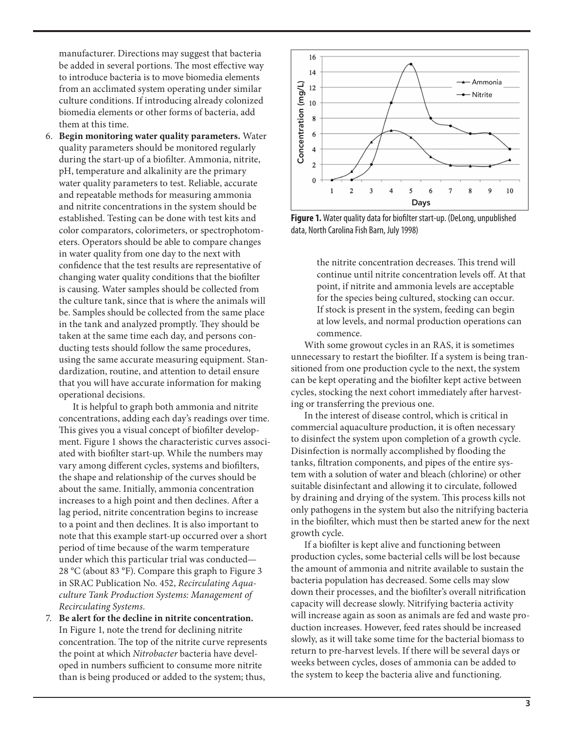manufacturer. Directions may suggest that bacteria be added in several portions. The most effective way to introduce bacteria is to move biomedia elements from an acclimated system operating under similar culture conditions. If introducing already colonized biomedia elements or other forms of bacteria, add them at this time.

6. **Begin monitoring water quality parameters.** Water quality parameters should be monitored regularly during the start-up of a biofilter. Ammonia, nitrite, pH, temperature and alkalinity are the primary water quality parameters to test. Reliable, accurate and repeatable methods for measuring ammonia and nitrite concentrations in the system should be established. Testing can be done with test kits and color comparators, colorimeters, or spectrophotometers. Operators should be able to compare changes in water quality from one day to the next with confidence that the test results are representative of changing water quality conditions that the biofilter is causing. Water samples should be collected from the culture tank, since that is where the animals will be. Samples should be collected from the same place in the tank and analyzed promptly. They should be taken at the same time each day, and persons conducting tests should follow the same procedures, using the same accurate measuring equipment. Standardization, routine, and attention to detail ensure that you will have accurate information for making operational decisions.

 It is helpful to graph both ammonia and nitrite concentrations, adding each day's readings over time. This gives you a visual concept of biofilter development. Figure 1 shows the characteristic curves associated with biofilter start-up. While the numbers may vary among different cycles, systems and biofilters, the shape and relationship of the curves should be about the same. Initially, ammonia concentration increases to a high point and then declines. After a lag period, nitrite concentration begins to increase to a point and then declines. It is also important to note that this example start-up occurred over a short period of time because of the warm temperature under which this particular trial was conducted— 28 °C (about 83 °F). Compare this graph to Figure 3 in SRAC Publication No. 452, *Recirculating Aquaculture Tank Production Systems: Management of Recirculating Systems.* 

7. **Be alert for the decline in nitrite concentration.** In Figure 1, note the trend for declining nitrite concentration. The top of the nitrite curve represents the point at which *Nitrobacter* bacteria have developed in numbers sufficient to consume more nitrite than is being produced or added to the system; thus,



**Figure 1.** Water quality data for biofilter start-up. (DeLong, unpublished data, North Carolina Fish Barn, July 1998)

the nitrite concentration decreases. This trend will continue until nitrite concentration levels off. At that point, if nitrite and ammonia levels are acceptable for the species being cultured, stocking can occur. If stock is present in the system, feeding can begin at low levels, and normal production operations can commence.

With some growout cycles in an RAS, it is sometimes unnecessary to restart the biofilter. If a system is being transitioned from one production cycle to the next, the system can be kept operating and the biofilter kept active between cycles, stocking the next cohort immediately after harvesting or transferring the previous one.

In the interest of disease control, which is critical in commercial aquaculture production, it is often necessary to disinfect the system upon completion of a growth cycle. Disinfection is normally accomplished by flooding the tanks, filtration components, and pipes of the entire system with a solution of water and bleach (chlorine) or other suitable disinfectant and allowing it to circulate, followed by draining and drying of the system. This process kills not only pathogens in the system but also the nitrifying bacteria in the biofilter, which must then be started anew for the next growth cycle.

If a biofilter is kept alive and functioning between production cycles, some bacterial cells will be lost because the amount of ammonia and nitrite available to sustain the bacteria population has decreased. Some cells may slow down their processes, and the biofilter's overall nitrification capacity will decrease slowly. Nitrifying bacteria activity will increase again as soon as animals are fed and waste production increases. However, feed rates should be increased slowly, as it will take some time for the bacterial biomass to return to pre-harvest levels. If there will be several days or weeks between cycles, doses of ammonia can be added to the system to keep the bacteria alive and functioning.